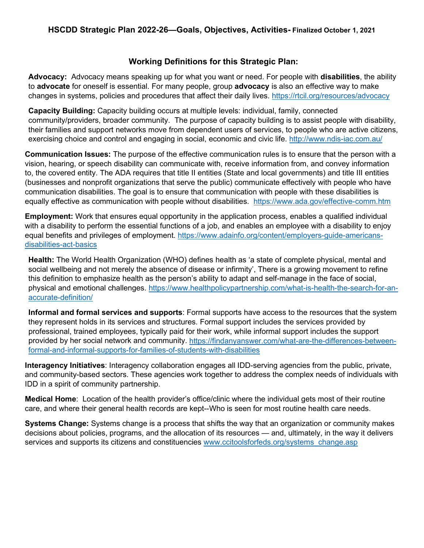# **Working Definitions for this Strategic Plan:**

**Advocacy:** Advocacy means speaking up for what you want or need. For people with **disabilities**, the ability to **advocate** for oneself is essential. For many people, group **advocacy** is also an effective way to make changes in systems, policies and procedures that affect their daily lives.<https://rtcil.org/resources/advocacy>

**Capacity Building:** Capacity building occurs at multiple levels: individual, family, connected community/providers, broader community. The purpose of capacity building is to assist people with disability, their families and support networks move from dependent users of services, to people who are active citizens, exercising choice and control and engaging in social, economic and civic life.<http://www.ndis-iac.com.au/>

**Communication Issues:** The purpose of the effective communication rules is to ensure that the person with a vision, hearing, or speech disability can communicate with, receive information from, and convey information to, the covered entity. The ADA requires that title II entities (State and local governments) and title III entities (businesses and nonprofit organizations that serve the public) communicate effectively with people who have communication disabilities. The goal is to ensure that communication with people with these disabilities is equally effective as communication with people without disabilities. <https://www.ada.gov/effective-comm.htm>

**Employment:** Work that ensures equal opportunity in the application process, enables a qualified individual with a disability to perform the essential functions of a job, and enables an employee with a disability to enjoy equal benefits and privileges of employment. [https://www.adainfo.org/content/employers-guide-americans](https://www.adainfo.org/content/employers-guide-americans-disabilities-act-basics)[disabilities-act-basics](https://www.adainfo.org/content/employers-guide-americans-disabilities-act-basics)

**Health:** The World Health Organization (WHO) defines health as 'a state of complete physical, mental and social wellbeing and not merely the absence of disease or infirmity', There is a growing movement to refine this definition to emphasize health as the person's ability to adapt and self-manage in the face of social, physical and emotional challenges. [https://www.healthpolicypartnership.com/what-is-health-the-search-for-an](https://www.healthpolicypartnership.com/what-is-health-the-search-for-an-accurate-definition/)[accurate-definition/](https://www.healthpolicypartnership.com/what-is-health-the-search-for-an-accurate-definition/)

**Informal and formal services and supports**: Formal supports have access to the resources that the system they represent holds in its services and structures. Formal support includes the services provided by professional, trained employees, typically paid for their work, while informal support includes the support provided by her social network and community. [https://findanyanswer.com/what-are-the-differences-between](https://findanyanswer.com/what-are-the-differences-between-formal-and-informal-supports-for-families-of-students-with-disabilities)[formal-and-informal-supports-for-families-of-students-with-disabilities](https://findanyanswer.com/what-are-the-differences-between-formal-and-informal-supports-for-families-of-students-with-disabilities)

**Interagency Initiatives**: Interagency collaboration engages all IDD-serving agencies from the public, private, and community-based sectors. These agencies work together to address the complex needs of individuals with IDD in a spirit of community partnership.

**Medical Home**: Location of the health provider's office/clinic where the individual gets most of their routine care, and where their general health records are kept--Who is seen for most routine health care needs.

**Systems Change:** Systems change is a process that shifts the way that an organization or community makes decisions about policies, programs, and the allocation of its resources — and, ultimately, in the way it delivers services and supports its citizens and constituencies www.ccitoolsforfeds.org/systems\_change.asp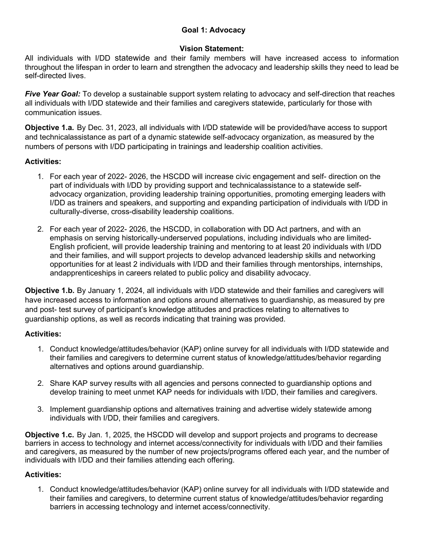## **Goal 1: Advocacy**

#### **Vision Statement:**

All individuals with I/DD statewide and their family members will have increased access to information throughout the lifespan in order to learn and strengthen the advocacy and leadership skills they need to lead be self-directed lives.

*Five Year Goal:* To develop a sustainable support system relating to advocacy and self-direction that reaches all individuals with I/DD statewide and their families and caregivers statewide, particularly for those with communication issues.

**Objective 1.a.** By Dec. 31, 2023, all individuals with I/DD statewide will be provided/have access to support and technicalassistance as part of a dynamic statewide self-advocacy organization, as measured by the numbers of persons with I/DD participating in trainings and leadership coalition activities.

## **Activities:**

- 1. For each year of 2022- 2026, the HSCDD will increase civic engagement and self- direction on the part of individuals with I/DD by providing support and technicalassistance to a statewide selfadvocacy organization, providing leadership training opportunities, promoting emerging leaders with I/DD as trainers and speakers, and supporting and expanding participation of individuals with I/DD in culturally-diverse, cross-disability leadership coalitions.
- 2. For each year of 2022- 2026, the HSCDD, in collaboration with DD Act partners, and with an emphasis on serving historically-underserved populations, including individuals who are limited-English proficient, will provide leadership training and mentoring to at least 20 individuals with I/DD and their families, and will support projects to develop advanced leadership skills and networking opportunities for at least 2 individuals with I/DD and their families through mentorships, internships, andapprenticeships in careers related to public policy and disability advocacy.

**Objective 1.b.** By January 1, 2024, all individuals with I/DD statewide and their families and caregivers will have increased access to information and options around alternatives to guardianship, as measured by pre and post- test survey of participant's knowledge attitudes and practices relating to alternatives to guardianship options, as well as records indicating that training was provided.

## **Activities:**

- 1. Conduct knowledge/attitudes/behavior (KAP) online survey for all individuals with I/DD statewide and their families and caregivers to determine current status of knowledge/attitudes/behavior regarding alternatives and options around guardianship.
- 2. Share KAP survey results with all agencies and persons connected to guardianship options and develop training to meet unmet KAP needs for individuals with I/DD, their families and caregivers.
- 3. Implement guardianship options and alternatives training and advertise widely statewide among individuals with I/DD, their families and caregivers.

**Objective 1.c.** By Jan. 1, 2025, the HSCDD will develop and support projects and programs to decrease barriers in access to technology and internet access/connectivity for individuals with I/DD and their families and caregivers, as measured by the number of new projects/programs offered each year, and the number of individuals with I/DD and their families attending each offering.

#### **Activities:**

1. Conduct knowledge/attitudes/behavior (KAP) online survey for all individuals with I/DD statewide and their families and caregivers, to determine current status of knowledge/attitudes/behavior regarding barriers in accessing technology and internet access/connectivity.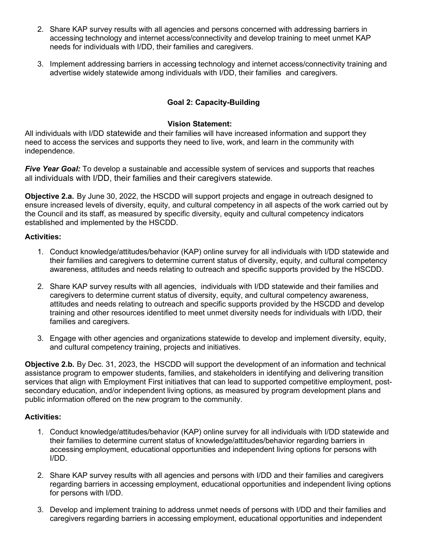- 2. Share KAP survey results with all agencies and persons concerned with addressing barriers in accessing technology and internet access/connectivity and develop training to meet unmet KAP needs for individuals with I/DD, their families and caregivers.
- 3. Implement addressing barriers in accessing technology and internet access/connectivity training and advertise widely statewide among individuals with I/DD, their families and caregivers.

## **Goal 2: Capacity-Building**

#### **Vision Statement:**

All individuals with I/DD statewide and their families will have increased information and support they need to access the services and supports they need to live, work, and learn in the community with independence.

*Five Year Goal:* To develop a sustainable and accessible system of services and supports that reaches all individuals with I/DD, their families and their caregivers statewide.

**Objective 2.a.** By June 30, 2022, the HSCDD will support projects and engage in outreach designed to ensure increased levels of diversity, equity, and cultural competency in all aspects of the work carried out by the Council and its staff, as measured by specific diversity, equity and cultural competency indicators established and implemented by the HSCDD.

#### **Activities:**

- 1. Conduct knowledge/attitudes/behavior (KAP) online survey for all individuals with I/DD statewide and their families and caregivers to determine current status of diversity, equity, and cultural competency awareness, attitudes and needs relating to outreach and specific supports provided by the HSCDD.
- 2. Share KAP survey results with all agencies, individuals with I/DD statewide and their families and caregivers to determine current status of diversity, equity, and cultural competency awareness, attitudes and needs relating to outreach and specific supports provided by the HSCDD and develop training and other resources identified to meet unmet diversity needs for individuals with I/DD, their families and caregivers.
- 3. Engage with other agencies and organizations statewide to develop and implement diversity, equity, and cultural competency training, projects and initiatives.

**Objective 2.b.** By Dec. 31, 2023, the HSCDD will support the development of an information and technical assistance program to empower students, families, and stakeholders in identifying and delivering transition services that align with Employment First initiatives that can lead to supported competitive employment, postsecondary education, and/or independent living options, as measured by program development plans and public information offered on the new program to the community.

- 1. Conduct knowledge/attitudes/behavior (KAP) online survey for all individuals with I/DD statewide and their families to determine current status of knowledge/attitudes/behavior regarding barriers in accessing employment, educational opportunities and independent living options for persons with I/DD.
- 2. Share KAP survey results with all agencies and persons with I/DD and their families and caregivers regarding barriers in accessing employment, educational opportunities and independent living options for persons with I/DD.
- 3. Develop and implement training to address unmet needs of persons with I/DD and their families and caregivers regarding barriers in accessing employment, educational opportunities and independent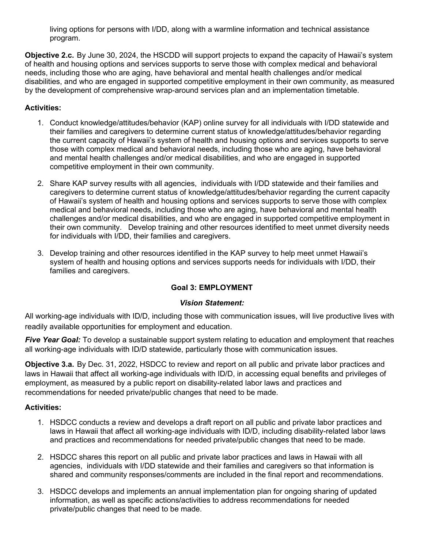living options for persons with I/DD, along with a warmline information and technical assistance program.

**Objective 2.c.** By June 30, 2024, the HSCDD will support projects to expand the capacity of Hawaii's system of health and housing options and services supports to serve those with complex medical and behavioral needs, including those who are aging, have behavioral and mental health challenges and/or medical disabilities, and who are engaged in supported competitive employment in their own community, as measured by the development of comprehensive wrap-around services plan and an implementation timetable.

## **Activities:**

- 1. Conduct knowledge/attitudes/behavior (KAP) online survey for all individuals with I/DD statewide and their families and caregivers to determine current status of knowledge/attitudes/behavior regarding the current capacity of Hawaii's system of health and housing options and services supports to serve those with complex medical and behavioral needs, including those who are aging, have behavioral and mental health challenges and/or medical disabilities, and who are engaged in supported competitive employment in their own community.
- 2. Share KAP survey results with all agencies, individuals with I/DD statewide and their families and caregivers to determine current status of knowledge/attitudes/behavior regarding the current capacity of Hawaii's system of health and housing options and services supports to serve those with complex medical and behavioral needs, including those who are aging, have behavioral and mental health challenges and/or medical disabilities, and who are engaged in supported competitive employment in their own community. Develop training and other resources identified to meet unmet diversity needs for individuals with I/DD, their families and caregivers.
- 3. Develop training and other resources identified in the KAP survey to help meet unmet Hawaii's system of health and housing options and services supports needs for individuals with I/DD, their families and caregivers.

# **Goal 3: EMPLOYMENT**

## *Vision Statement:*

All working-age individuals with ID/D, including those with communication issues, will live productive lives with readily available opportunities for employment and education.

*Five Year Goal:* To develop a sustainable support system relating to education and employment that reaches all working-age individuals with ID/D statewide, particularly those with communication issues.

**Objective 3.a.** By Dec. 31, 2022, HSDCC to review and report on all public and private labor practices and laws in Hawaii that affect all working-age individuals with ID/D, in accessing equal benefits and privileges of employment, as measured by a public report on disability-related labor laws and practices and recommendations for needed private/public changes that need to be made.

- 1. HSDCC conducts a review and develops a draft report on all public and private labor practices and laws in Hawaii that affect all working-age individuals with ID/D, including disability-related labor laws and practices and recommendations for needed private/public changes that need to be made.
- 2. HSDCC shares this report on all public and private labor practices and laws in Hawaii with all agencies, individuals with I/DD statewide and their families and caregivers so that information is shared and community responses/comments are included in the final report and recommendations.
- 3. HSDCC develops and implements an annual implementation plan for ongoing sharing of updated information, as well as specific actions/activities to address recommendations for needed private/public changes that need to be made.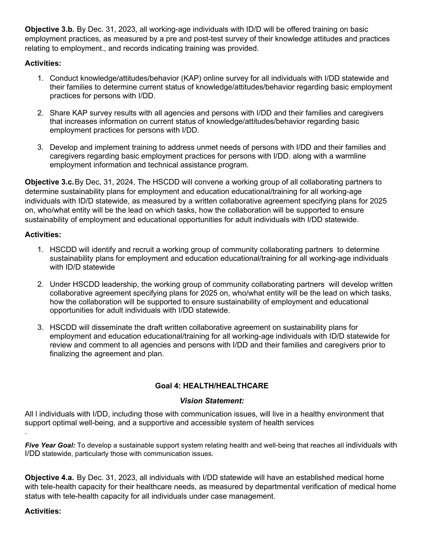**Objective 3.b.** By Dec. 31, 2023, all working-age individuals with ID/D will be offered training on basic employment practices, as measured by a pre and post-test survey of their knowledge attitudes and practices relating to employment., and records indicating training was provided.

## **Activities:**

- 1. Conduct knowledge/attitudes/behavior (KAP) online survey for all individuals with I/DD statewide and their families to determine current status of knowledge/attitudes/behavior regarding basic employment practices for persons with I/DD.
- 2. Share KAP survey results with all agencies and persons with I/DD and their families and caregivers that increases information on current status of knowledge/attitudes/behavior regarding basic employment practices for persons with I/DD.
- 3. Develop and implement training to address unmet needs of persons with I/DD and their families and caregivers regarding basic employment practices for persons with I/DD. along with a warmline employment information and technical assistance program.

**Objective 3.c.**By Dec, 31, 2024, The HSCDD will convene a working group of all collaborating partners to determine sustainability plans for employment and education educational/training for all working-age individuals with ID/D statewide, as measured by a written collaborative agreement specifying plans for 2025 on, who/what entity will be the lead on which tasks, how the collaboration will be supported to ensure sustainability of employment and educational opportunities for adult individuals with I/DD statewide.

## **Activities:**

- 1. HSCDD will identify and recruit a working group of community collaborating partners to determine sustainability plans for employment and education educational/training for all working-age individuals with ID/D statewide
- 2. Under HSCDD leadership, the working group of community collaborating partners will develop written collaborative agreement specifying plans for 2025 on, who/what entity will be the lead on which tasks, how the collaboration will be supported to ensure sustainability of employment and educational opportunities for adult individuals with I/DD statewide.
- 3. HSCDD will disseminate the draft written collaborative agreement on sustainability plans for employment and education educational/training for all working-age individuals with ID/D statewide for review and comment to all agencies and persons with I/DD and their families and caregivers prior to finalizing the agreement and plan.

# **Goal 4: HEALTH/HEALTHCARE**

## *Vision Statement:*

All l individuals with I/DD, including those with communication issues, will live in a healthy environment that support optimal well-being, and a supportive and accessible system of health services

**Five Year Goal:** To develop a sustainable support system relating health and well-being that reaches all individuals with I/DD statewide, particularly those with communication issues.

**Objective 4.a.** By Dec. 31, 2023, all individuals with I/DD statewide will have an established medical home with tele-health capacity for their healthcare needs, as measured by departmental verification of medical home status with tele-health capacity for all individuals under case management.

## **Activities:**

.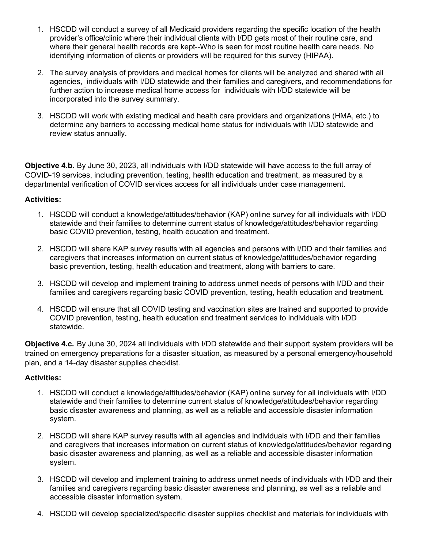- 1. HSCDD will conduct a survey of all Medicaid providers regarding the specific location of the health provider's office/clinic where their individual clients with I/DD gets most of their routine care, and where their general health records are kept--Who is seen for most routine health care needs. No identifying information of clients or providers will be required for this survey (HIPAA).
- 2. The survey analysis of providers and medical homes for clients will be analyzed and shared with all agencies, individuals with I/DD statewide and their families and caregivers, and recommendations for further action to increase medical home access for individuals with I/DD statewide will be incorporated into the survey summary.
- 3. HSCDD will work with existing medical and health care providers and organizations (HMA, etc.) to determine any barriers to accessing medical home status for individuals with I/DD statewide and review status annually.

**Objective 4.b.** By June 30, 2023, all individuals with I/DD statewide will have access to the full array of COVID-19 services, including prevention, testing, health education and treatment, as measured by a departmental verification of COVID services access for all individuals under case management.

#### **Activities:**

- 1. HSCDD will conduct a knowledge/attitudes/behavior (KAP) online survey for all individuals with I/DD statewide and their families to determine current status of knowledge/attitudes/behavior regarding basic COVID prevention, testing, health education and treatment.
- 2. HSCDD will share KAP survey results with all agencies and persons with I/DD and their families and caregivers that increases information on current status of knowledge/attitudes/behavior regarding basic prevention, testing, health education and treatment, along with barriers to care.
- 3. HSCDD will develop and implement training to address unmet needs of persons with I/DD and their families and caregivers regarding basic COVID prevention, testing, health education and treatment.
- 4. HSCDD will ensure that all COVID testing and vaccination sites are trained and supported to provide COVID prevention, testing, health education and treatment services to individuals with I/DD statewide.

**Objective 4.c.** By June 30, 2024 all individuals with I/DD statewide and their support system providers will be trained on emergency preparations for a disaster situation, as measured by a personal emergency/household plan, and a 14-day disaster supplies checklist.

- 1. HSCDD will conduct a knowledge/attitudes/behavior (KAP) online survey for all individuals with I/DD statewide and their families to determine current status of knowledge/attitudes/behavior regarding basic disaster awareness and planning, as well as a reliable and accessible disaster information system.
- 2. HSCDD will share KAP survey results with all agencies and individuals with I/DD and their families and caregivers that increases information on current status of knowledge/attitudes/behavior regarding basic disaster awareness and planning, as well as a reliable and accessible disaster information system.
- 3. HSCDD will develop and implement training to address unmet needs of individuals with I/DD and their families and caregivers regarding basic disaster awareness and planning, as well as a reliable and accessible disaster information system.
- 4. HSCDD will develop specialized/specific disaster supplies checklist and materials for individuals with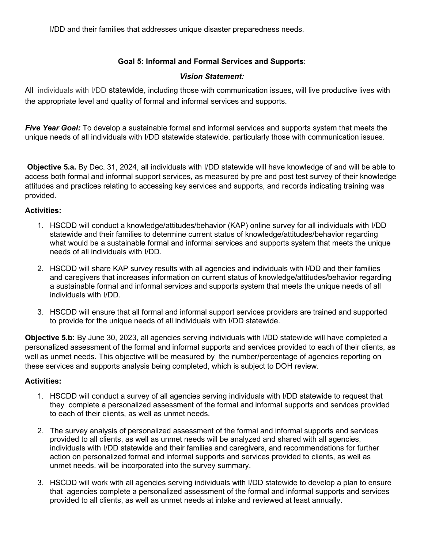I/DD and their families that addresses unique disaster preparedness needs.

# **Goal 5: Informal and Formal Services and Supports**:

#### *Vision Statement:*

All individuals with I/DD statewide, including those with communication issues, will live productive lives with the appropriate level and quality of formal and informal services and supports.

*Five Year Goal:* To develop a sustainable formal and informal services and supports system that meets the unique needs of all individuals with I/DD statewide statewide, particularly those with communication issues.

**Objective 5.a.** By Dec. 31, 2024, all individuals with I/DD statewide will have knowledge of and will be able to access both formal and informal support services, as measured by pre and post test survey of their knowledge attitudes and practices relating to accessing key services and supports, and records indicating training was provided.

#### **Activities:**

- 1. HSCDD will conduct a knowledge/attitudes/behavior (KAP) online survey for all individuals with I/DD statewide and their families to determine current status of knowledge/attitudes/behavior regarding what would be a sustainable formal and informal services and supports system that meets the unique needs of all individuals with I/DD.
- 2. HSCDD will share KAP survey results with all agencies and individuals with I/DD and their families and caregivers that increases information on current status of knowledge/attitudes/behavior regarding a sustainable formal and informal services and supports system that meets the unique needs of all individuals with I/DD.
- 3. HSCDD will ensure that all formal and informal support services providers are trained and supported to provide for the unique needs of all individuals with I/DD statewide.

**Objective 5.b:** By June 30, 2023, all agencies serving individuals with I/DD statewide will have completed a personalized assessment of the formal and informal supports and services provided to each of their clients, as well as unmet needs. This objective will be measured by the number/percentage of agencies reporting on these services and supports analysis being completed, which is subject to DOH review.

- 1. HSCDD will conduct a survey of all agencies serving individuals with I/DD statewide to request that they complete a personalized assessment of the formal and informal supports and services provided to each of their clients, as well as unmet needs.
- 2. The survey analysis of personalized assessment of the formal and informal supports and services provided to all clients, as well as unmet needs will be analyzed and shared with all agencies, individuals with I/DD statewide and their families and caregivers, and recommendations for further action on personalized formal and informal supports and services provided to clients, as well as unmet needs. will be incorporated into the survey summary.
- 3. HSCDD will work with all agencies serving individuals with I/DD statewide to develop a plan to ensure that agencies complete a personalized assessment of the formal and informal supports and services provided to all clients, as well as unmet needs at intake and reviewed at least annually.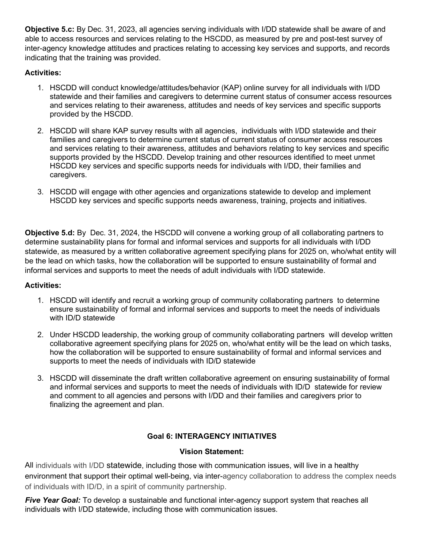**Objective 5.c:** By Dec. 31, 2023, all agencies serving individuals with I/DD statewide shall be aware of and able to access resources and services relating to the HSCDD, as measured by pre and post-test survey of inter-agency knowledge attitudes and practices relating to accessing key services and supports, and records indicating that the training was provided.

# **Activities:**

- 1. HSCDD will conduct knowledge/attitudes/behavior (KAP) online survey for all individuals with I/DD statewide and their families and caregivers to determine current status of consumer access resources and services relating to their awareness, attitudes and needs of key services and specific supports provided by the HSCDD.
- 2. HSCDD will share KAP survey results with all agencies, individuals with I/DD statewide and their families and caregivers to determine current status of current status of consumer access resources and services relating to their awareness, attitudes and behaviors relating to key services and specific supports provided by the HSCDD. Develop training and other resources identified to meet unmet HSCDD key services and specific supports needs for individuals with I/DD, their families and caregivers.
- 3. HSCDD will engage with other agencies and organizations statewide to develop and implement HSCDD key services and specific supports needs awareness, training, projects and initiatives.

**Objective 5.d:** By Dec. 31, 2024, the HSCDD will convene a working group of all collaborating partners to determine sustainability plans for formal and informal services and supports for all individuals with I/DD statewide, as measured by a written collaborative agreement specifying plans for 2025 on, who/what entity will be the lead on which tasks, how the collaboration will be supported to ensure sustainability of formal and informal services and supports to meet the needs of adult individuals with I/DD statewide.

## **Activities:**

- 1. HSCDD will identify and recruit a working group of community collaborating partners to determine ensure sustainability of formal and informal services and supports to meet the needs of individuals with ID/D statewide
- 2. Under HSCDD leadership, the working group of community collaborating partners will develop written collaborative agreement specifying plans for 2025 on, who/what entity will be the lead on which tasks, how the collaboration will be supported to ensure sustainability of formal and informal services and supports to meet the needs of individuals with ID/D statewide
- 3. HSCDD will disseminate the draft written collaborative agreement on ensuring sustainability of formal and informal services and supports to meet the needs of individuals with ID/D statewide for review and comment to all agencies and persons with I/DD and their families and caregivers prior to finalizing the agreement and plan.

# **Goal 6: INTERAGENCY INITIATIVES**

## **Vision Statement:**

All individuals with I/DD statewide, including those with communication issues, will live in a healthy environment that support their optimal well-being, via inter-agency collaboration to address the complex needs of individuals with ID/D, in a spirit of community partnership.

*Five Year Goal:* To develop a sustainable and functional inter-agency support system that reaches all individuals with I/DD statewide, including those with communication issues.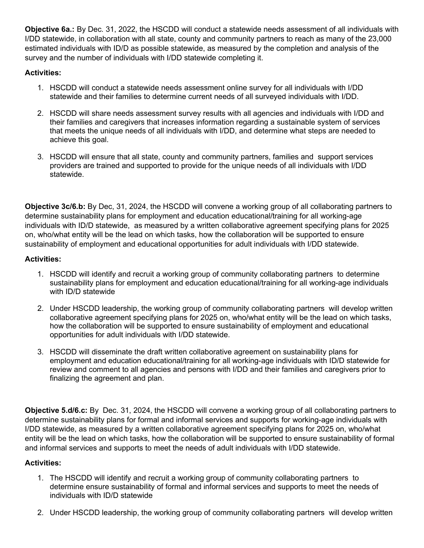**Objective 6a.:** By Dec. 31, 2022, the HSCDD will conduct a statewide needs assessment of all individuals with I/DD statewide, in collaboration with all state, county and community partners to reach as many of the 23,000 estimated individuals with ID/D as possible statewide, as measured by the completion and analysis of the survey and the number of individuals with I/DD statewide completing it.

## **Activities:**

- 1. HSCDD will conduct a statewide needs assessment online survey for all individuals with I/DD statewide and their families to determine current needs of all surveyed individuals with I/DD.
- 2. HSCDD will share needs assessment survey results with all agencies and individuals with I/DD and their families and caregivers that increases information regarding a sustainable system of services that meets the unique needs of all individuals with I/DD, and determine what steps are needed to achieve this goal.
- 3. HSCDD will ensure that all state, county and community partners, families and support services providers are trained and supported to provide for the unique needs of all individuals with I/DD statewide.

**Objective 3c/6.b:** By Dec, 31, 2024, the HSCDD will convene a working group of all collaborating partners to determine sustainability plans for employment and education educational/training for all working-age individuals with ID/D statewide, as measured by a written collaborative agreement specifying plans for 2025 on, who/what entity will be the lead on which tasks, how the collaboration will be supported to ensure sustainability of employment and educational opportunities for adult individuals with I/DD statewide.

## **Activities:**

- 1. HSCDD will identify and recruit a working group of community collaborating partners to determine sustainability plans for employment and education educational/training for all working-age individuals with ID/D statewide
- 2. Under HSCDD leadership, the working group of community collaborating partners will develop written collaborative agreement specifying plans for 2025 on, who/what entity will be the lead on which tasks, how the collaboration will be supported to ensure sustainability of employment and educational opportunities for adult individuals with I/DD statewide.
- 3. HSCDD will disseminate the draft written collaborative agreement on sustainability plans for employment and education educational/training for all working-age individuals with ID/D statewide for review and comment to all agencies and persons with I/DD and their families and caregivers prior to finalizing the agreement and plan.

**Objective 5.d/6.c:** By Dec. 31, 2024, the HSCDD will convene a working group of all collaborating partners to determine sustainability plans for formal and informal services and supports for working-age individuals with I/DD statewide, as measured by a written collaborative agreement specifying plans for 2025 on, who/what entity will be the lead on which tasks, how the collaboration will be supported to ensure sustainability of formal and informal services and supports to meet the needs of adult individuals with I/DD statewide.

- 1. The HSCDD will identify and recruit a working group of community collaborating partners to determine ensure sustainability of formal and informal services and supports to meet the needs of individuals with ID/D statewide
- 2. Under HSCDD leadership, the working group of community collaborating partners will develop written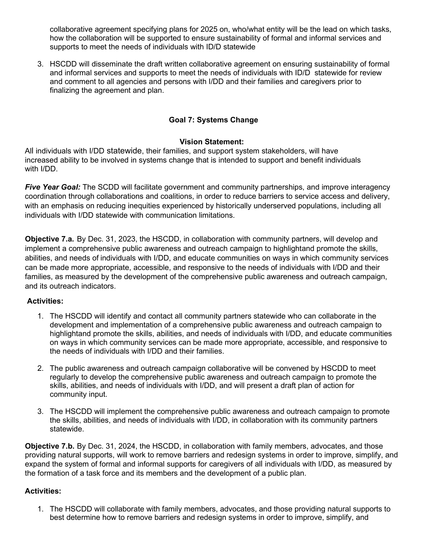collaborative agreement specifying plans for 2025 on, who/what entity will be the lead on which tasks, how the collaboration will be supported to ensure sustainability of formal and informal services and supports to meet the needs of individuals with ID/D statewide

3. HSCDD will disseminate the draft written collaborative agreement on ensuring sustainability of formal and informal services and supports to meet the needs of individuals with ID/D statewide for review and comment to all agencies and persons with I/DD and their families and caregivers prior to finalizing the agreement and plan.

## **Goal 7: Systems Change**

#### **Vision Statement:**

All individuals with I/DD statewide, their families, and support system stakeholders, will have increased ability to be involved in systems change that is intended to support and benefit individuals with I/DD.

*Five Year Goal:* The SCDD will facilitate government and community partnerships, and improve interagency coordination through collaborations and coalitions, in order to reduce barriers to service access and delivery, with an emphasis on reducing inequities experienced by historically underserved populations, including all individuals with I/DD statewide with communication limitations.

**Objective 7.a.** By Dec. 31, 2023, the HSCDD, in collaboration with community partners, will develop and implement a comprehensive public awareness and outreach campaign to highlightand promote the skills, abilities, and needs of individuals with I/DD, and educate communities on ways in which community services can be made more appropriate, accessible, and responsive to the needs of individuals with I/DD and their families, as measured by the development of the comprehensive public awareness and outreach campaign, and its outreach indicators.

#### **Activities:**

- 1. The HSCDD will identify and contact all community partners statewide who can collaborate in the development and implementation of a comprehensive public awareness and outreach campaign to highlightand promote the skills, abilities, and needs of individuals with I/DD, and educate communities on ways in which community services can be made more appropriate, accessible, and responsive to the needs of individuals with I/DD and their families.
- 2. The public awareness and outreach campaign collaborative will be convened by HSCDD to meet regularly to develop the comprehensive public awareness and outreach campaign to promote the skills, abilities, and needs of individuals with I/DD, and will present a draft plan of action for community input.
- 3. The HSCDD will implement the comprehensive public awareness and outreach campaign to promote the skills, abilities, and needs of individuals with I/DD, in collaboration with its community partners statewide.

**Objective 7.b.** By Dec. 31, 2024, the HSCDD, in collaboration with family members, advocates, and those providing natural supports, will work to remove barriers and redesign systems in order to improve, simplify, and expand the system of formal and informal supports for caregivers of all individuals with I/DD, as measured by the formation of a task force and its members and the development of a public plan.

## **Activities:**

1. The HSCDD will collaborate with family members, advocates, and those providing natural supports to best determine how to remove barriers and redesign systems in order to improve, simplify, and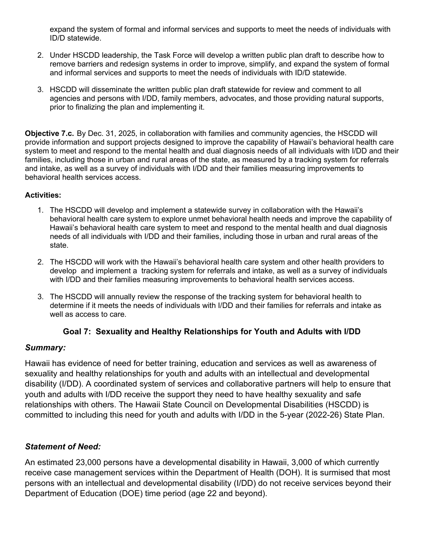expand the system of formal and informal services and supports to meet the needs of individuals with ID/D statewide.

- 2. Under HSCDD leadership, the Task Force will develop a written public plan draft to describe how to remove barriers and redesign systems in order to improve, simplify, and expand the system of formal and informal services and supports to meet the needs of individuals with ID/D statewide.
- 3. HSCDD will disseminate the written public plan draft statewide for review and comment to all agencies and persons with I/DD, family members, advocates, and those providing natural supports, prior to finalizing the plan and implementing it.

**Objective 7.c.** By Dec. 31, 2025, in collaboration with families and community agencies, the HSCDD will provide information and support projects designed to improve the capability of Hawaii's behavioral health care system to meet and respond to the mental health and dual diagnosis needs of all individuals with I/DD and their families, including those in urban and rural areas of the state, as measured by a tracking system for referrals and intake, as well as a survey of individuals with I/DD and their families measuring improvements to behavioral health services access.

#### **Activities:**

- 1. The HSCDD will develop and implement a statewide survey in collaboration with the Hawaii's behavioral health care system to explore unmet behavioral health needs and improve the capability of Hawaii's behavioral health care system to meet and respond to the mental health and dual diagnosis needs of all individuals with I/DD and their families, including those in urban and rural areas of the state.
- 2. The HSCDD will work with the Hawaii's behavioral health care system and other health providers to develop and implement a tracking system for referrals and intake, as well as a survey of individuals with I/DD and their families measuring improvements to behavioral health services access.
- 3. The HSCDD will annually review the response of the tracking system for behavioral health to determine if it meets the needs of individuals with I/DD and their families for referrals and intake as well as access to care.

## **Goal 7: Sexuality and Healthy Relationships for Youth and Adults with I/DD**

## *Summary:*

Hawaii has evidence of need for better training, education and services as well as awareness of sexuality and healthy relationships for youth and adults with an intellectual and developmental disability (I/DD). A coordinated system of services and collaborative partners will help to ensure that youth and adults with I/DD receive the support they need to have healthy sexuality and safe relationships with others. The Hawaii State Council on Developmental Disabilities (HSCDD) is committed to including this need for youth and adults with I/DD in the 5-year (2022-26) State Plan.

# *Statement of Need:*

An estimated 23,000 persons have a developmental disability in Hawaii, 3,000 of which currently receive case management services within the Department of Health (DOH). It is surmised that most persons with an intellectual and developmental disability (I/DD) do not receive services beyond their Department of Education (DOE) time period (age 22 and beyond).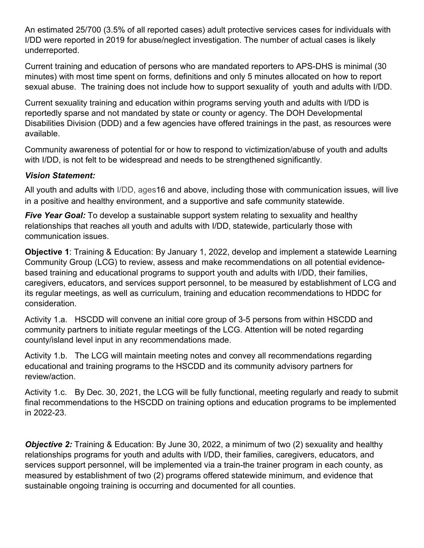An estimated 25/700 (3.5% of all reported cases) adult protective services cases for individuals with I/DD were reported in 2019 for abuse/neglect investigation. The number of actual cases is likely underreported.

Current training and education of persons who are mandated reporters to APS-DHS is minimal (30 minutes) with most time spent on forms, definitions and only 5 minutes allocated on how to report sexual abuse. The training does not include how to support sexuality of youth and adults with I/DD.

Current sexuality training and education within programs serving youth and adults with I/DD is reportedly sparse and not mandated by state or county or agency. The DOH Developmental Disabilities Division (DDD) and a few agencies have offered trainings in the past, as resources were available.

Community awareness of potential for or how to respond to victimization/abuse of youth and adults with I/DD, is not felt to be widespread and needs to be strengthened significantly.

# *Vision Statement:*

All youth and adults with I/DD, ages16 and above, including those with communication issues, will live in a positive and healthy environment, and a supportive and safe community statewide.

*Five Year Goal:* To develop a sustainable support system relating to sexuality and healthy relationships that reaches all youth and adults with I/DD, statewide, particularly those with communication issues.

**Objective 1**: Training & Education: By January 1, 2022, develop and implement a statewide Learning Community Group (LCG) to review, assess and make recommendations on all potential evidencebased training and educational programs to support youth and adults with I/DD, their families, caregivers, educators, and services support personnel, to be measured by establishment of LCG and its regular meetings, as well as curriculum, training and education recommendations to HDDC for consideration.

Activity 1.a. HSCDD will convene an initial core group of 3-5 persons from within HSCDD and community partners to initiate regular meetings of the LCG. Attention will be noted regarding county/island level input in any recommendations made.

Activity 1.b. The LCG will maintain meeting notes and convey all recommendations regarding educational and training programs to the HSCDD and its community advisory partners for review/action.

Activity 1.c. By Dec. 30, 2021, the LCG will be fully functional, meeting regularly and ready to submit final recommendations to the HSCDD on training options and education programs to be implemented in 2022-23.

*Objective 2:* Training & Education: By June 30, 2022, a minimum of two (2) sexuality and healthy relationships programs for youth and adults with I/DD, their families, caregivers, educators, and services support personnel, will be implemented via a train-the trainer program in each county, as measured by establishment of two (2) programs offered statewide minimum, and evidence that sustainable ongoing training is occurring and documented for all counties.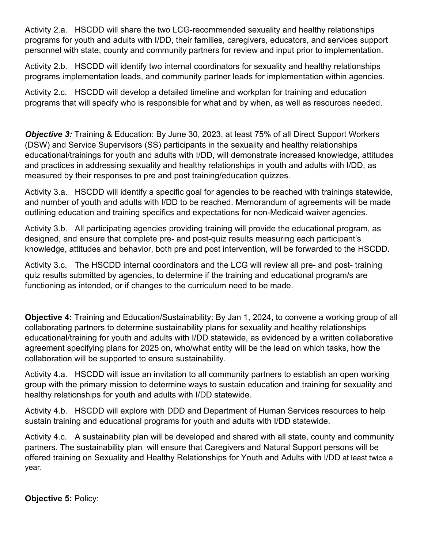Activity 2.a. HSCDD will share the two LCG-recommended sexuality and healthy relationships programs for youth and adults with I/DD, their families, caregivers, educators, and services support personnel with state, county and community partners for review and input prior to implementation.

Activity 2.b. HSCDD will identify two internal coordinators for sexuality and healthy relationships programs implementation leads, and community partner leads for implementation within agencies.

Activity 2.c. HSCDD will develop a detailed timeline and workplan for training and education programs that will specify who is responsible for what and by when, as well as resources needed.

*Objective 3:* Training & Education: By June 30, 2023, at least 75% of all Direct Support Workers (DSW) and Service Supervisors (SS) participants in the sexuality and healthy relationships educational/trainings for youth and adults with I/DD, will demonstrate increased knowledge, attitudes and practices in addressing sexuality and healthy relationships in youth and adults with I/DD, as measured by their responses to pre and post training/education quizzes.

Activity 3.a. HSCDD will identify a specific goal for agencies to be reached with trainings statewide, and number of youth and adults with I/DD to be reached. Memorandum of agreements will be made outlining education and training specifics and expectations for non-Medicaid waiver agencies.

Activity 3.b. All participating agencies providing training will provide the educational program, as designed, and ensure that complete pre- and post-quiz results measuring each participant's knowledge, attitudes and behavior, both pre and post intervention, will be forwarded to the HSCDD.

Activity 3.c. The HSCDD internal coordinators and the LCG will review all pre- and post- training quiz results submitted by agencies, to determine if the training and educational program/s are functioning as intended, or if changes to the curriculum need to be made.

**Objective 4:** Training and Education/Sustainability: By Jan 1, 2024, to convene a working group of all collaborating partners to determine sustainability plans for sexuality and healthy relationships educational/training for youth and adults with I/DD statewide, as evidenced by a written collaborative agreement specifying plans for 2025 on, who/what entity will be the lead on which tasks, how the collaboration will be supported to ensure sustainability.

Activity 4.a. HSCDD will issue an invitation to all community partners to establish an open working group with the primary mission to determine ways to sustain education and training for sexuality and healthy relationships for youth and adults with I/DD statewide.

Activity 4.b. HSCDD will explore with DDD and Department of Human Services resources to help sustain training and educational programs for youth and adults with I/DD statewide.

Activity 4.c. A sustainability plan will be developed and shared with all state, county and community partners. The sustainability plan will ensure that Caregivers and Natural Support persons will be offered training on Sexuality and Healthy Relationships for Youth and Adults with I/DD at least twice a year.

**Objective 5:** Policy: